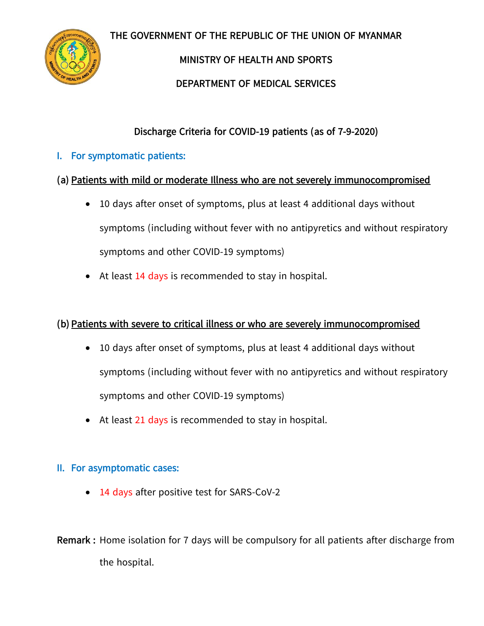**THE GOVERNMENT OF THE REPUBLIC OF THE UNION OF MYANMAR**



**MINISTRY OF HEALTH AND SPORTS** 

**DEPARTMENT OF MEDICAL SERVICES**

**Discharge Criteria for COVID-19 patients (as of 7-9-2020)**

**I. For symptomatic patients:** 

## **(a) Patients with mild or moderate Illness who are not severely immunocompromised**

- 10 days after onset of symptoms, plus at least 4 additional days without symptoms (including without fever with no antipyretics and without respiratory symptoms and other COVID-19 symptoms)
- At least 14 days is recommended to stay in hospital.

## **(b) Patients with severe to critical illness or who are severely immunocompromised**

- 10 days after onset of symptoms, plus at least 4 additional days without symptoms (including without fever with no antipyretics and without respiratory symptoms and other COVID-19 symptoms)
- At least 21 days is recommended to stay in hospital.

## **II. For asymptomatic cases:**

- 14 days after positive test for SARS-CoV-2
- **Remark :** Home isolation for 7 days will be compulsory for all patients after discharge from the hospital.